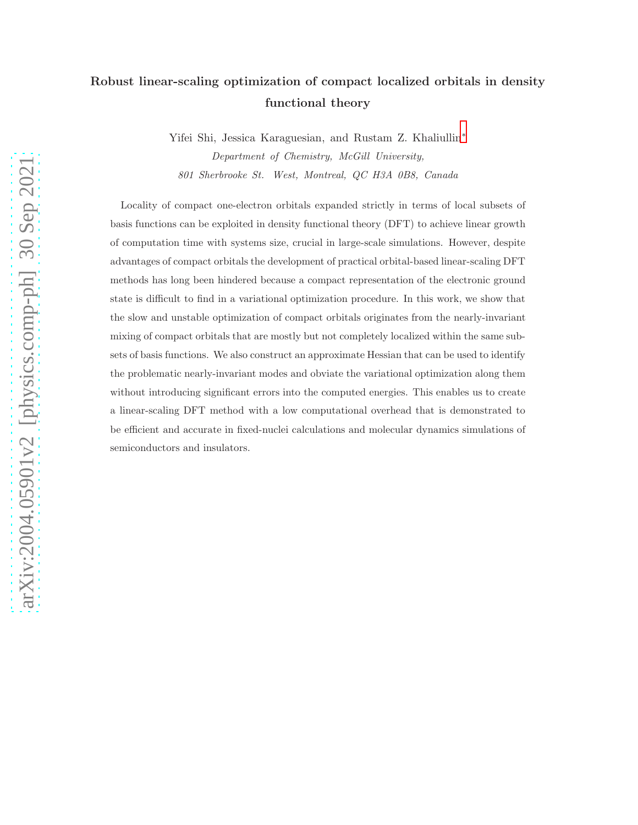# Robust linear-scaling optimization of compact localized orbitals in density functional theory

Yifei Shi, Jessica Karaguesian, and Rustam Z. Khaliullin[∗](#page-18-0) *Department of Chemistry, McGill University, 801 Sherbrooke St. West, Montreal, QC H3A 0B8, Canada*

Locality of compact one-electron orbitals expanded strictly in terms of local subsets of basis functions can be exploited in density functional theory (DFT) to achieve linear growth of computation time with systems size, crucial in large-scale simulations. However, despite advantages of compact orbitals the development of practical orbital-based linear-scaling DFT methods has long been hindered because a compact representation of the electronic ground state is difficult to find in a variational optimization procedure. In this work, we show that the slow and unstable optimization of compact orbitals originates from the nearly-invariant mixing of compact orbitals that are mostly but not completely localized within the same subsets of basis functions. We also construct an approximate Hessian that can be used to identify the problematic nearly-invariant modes and obviate the variational optimization along them without introducing significant errors into the computed energies. This enables us to create a linear-scaling DFT method with a low computational overhead that is demonstrated to be efficient and accurate in fixed-nuclei calculations and molecular dynamics simulations of semiconductors and insulators.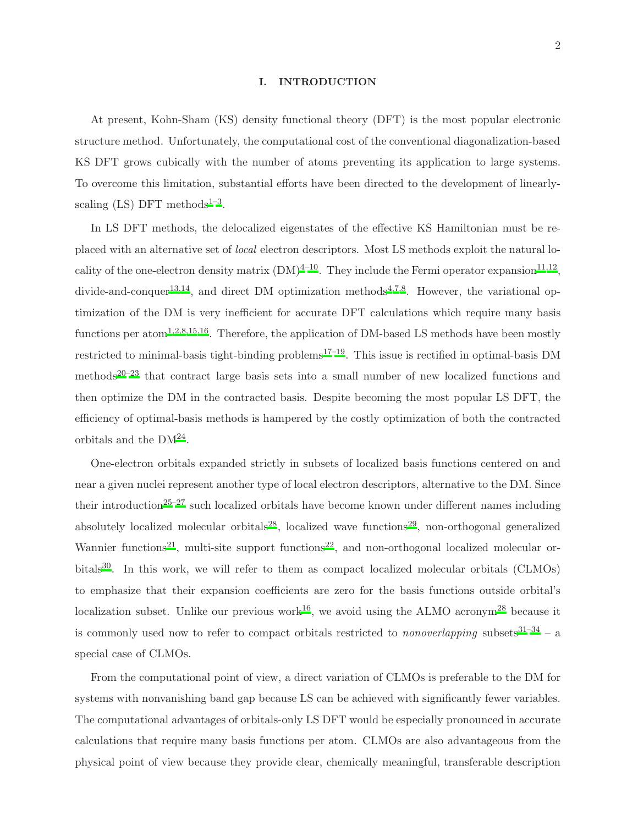### I. INTRODUCTION

At present, Kohn-Sham (KS) density functional theory (DFT) is the most popular electronic structure method. Unfortunately, the computational cost of the conventional diagonalization-based KS DFT grows cubically with the number of atoms preventing its application to large systems. To overcome this limitation, substantial efforts have been directed to the development of linearlyscaling  $(LS)$  DFT methods<sup>[1](#page-18-1)-3</sup>.

In LS DFT methods, the delocalized eigenstates of the effective KS Hamiltonian must be replaced with an alternative set of *local* electron descriptors. Most LS methods exploit the natural locality of the one-electron density matrix  $(DM)^{4-10}$  $(DM)^{4-10}$  $(DM)^{4-10}$ . They include the Fermi operator expansion<sup>[11](#page-19-0)[,12](#page-19-1)</sup>, divide-and-conquer<sup>[13](#page-19-2)[,14](#page-19-3)</sup>, and direct DM optimization methods<sup>[4](#page-18-3)[,7](#page-18-5)[,8](#page-18-6)</sup>. However, the variational optimization of the DM is very inefficient for accurate DFT calculations which require many basis functions per atom<sup>[1](#page-18-1)[,2](#page-18-7)[,8](#page-18-6)[,15](#page-19-4)[,16](#page-19-5)</sup>. Therefore, the application of DM-based LS methods have been mostly restricted to minimal-basis tight-binding problems<sup>[17](#page-19-6)[–19](#page-19-7)</sup>. This issue is rectified in optimal-basis DM methods<sup>[20](#page-19-8)[–23](#page-19-9)</sup> that contract large basis sets into a small number of new localized functions and then optimize the DM in the contracted basis. Despite becoming the most popular LS DFT, the efficiency of optimal-basis methods is hampered by the costly optimization of both the contracted orbitals and the  $DM^{24}$  $DM^{24}$  $DM^{24}$ .

One-electron orbitals expanded strictly in subsets of localized basis functions centered on and near a given nuclei represent another type of local electron descriptors, alternative to the DM. Since their introduction<sup>[25](#page-19-11)[–27](#page-19-12)</sup> such localized orbitals have become known under different names including absolutely localized molecular orbitals<sup>[28](#page-19-13)</sup>, localized wave functions<sup>[29](#page-20-0)</sup>, non-orthogonal generalized Wannier functions<sup>[21](#page-19-14)</sup>, multi-site support functions<sup>[22](#page-19-15)</sup>, and non-orthogonal localized molecular or-bitals<sup>[30](#page-20-1)</sup>. In this work, we will refer to them as compact localized molecular orbitals (CLMOs) to emphasize that their expansion coefficients are zero for the basis functions outside orbital's localization subset. Unlike our previous work<sup>[16](#page-19-5)</sup>, we avoid using the ALMO acronym<sup>[28](#page-19-13)</sup> because it is commonly used now to refer to compact orbitals restricted to *nonoverlapping* subsets $31-34$  $31-34$  – a special case of CLMOs.

From the computational point of view, a direct variation of CLMOs is preferable to the DM for systems with nonvanishing band gap because LS can be achieved with significantly fewer variables. The computational advantages of orbitals-only LS DFT would be especially pronounced in accurate calculations that require many basis functions per atom. CLMOs are also advantageous from the physical point of view because they provide clear, chemically meaningful, transferable description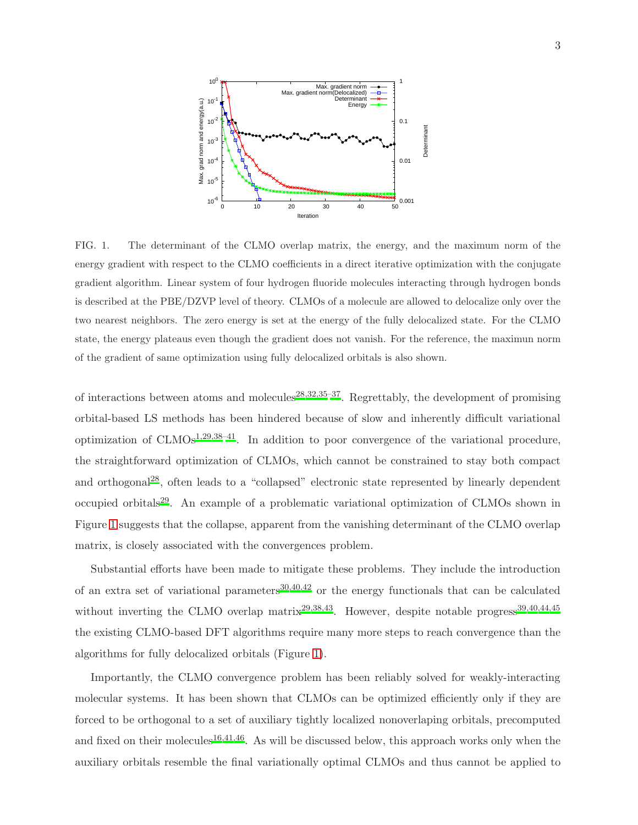

<span id="page-2-0"></span>FIG. 1. The determinant of the CLMO overlap matrix, the energy, and the maximum norm of the energy gradient with respect to the CLMO coefficients in a direct iterative optimization with the conjugate gradient algorithm. Linear system of four hydrogen fluoride molecules interacting through hydrogen bonds is described at the PBE/DZVP level of theory. CLMOs of a molecule are allowed to delocalize only over the two nearest neighbors. The zero energy is set at the energy of the fully delocalized state. For the CLMO state, the energy plateaus even though the gradient does not vanish. For the reference, the maximun norm of the gradient of same optimization using fully delocalized orbitals is also shown.

of interactions between atoms and molecules<sup>[28](#page-19-13)[,32](#page-20-4)[,35](#page-20-5)[–37](#page-20-6)</sup>. Regrettably, the development of promising orbital-based LS methods has been hindered because of slow and inherently difficult variational optimization of  $\text{CLMOs}^{1,29,38-41}$  $\text{CLMOs}^{1,29,38-41}$  $\text{CLMOs}^{1,29,38-41}$  $\text{CLMOs}^{1,29,38-41}$  $\text{CLMOs}^{1,29,38-41}$ . In addition to poor convergence of the variational procedure, the straightforward optimization of CLMOs, which cannot be constrained to stay both compact and orthogonal[28](#page-19-13), often leads to a "collapsed" electronic state represented by linearly dependent occupied orbitals<sup>[29](#page-20-0)</sup>. An example of a problematic variational optimization of CLMOs shown in Figure [1](#page-2-0) suggests that the collapse, apparent from the vanishing determinant of the CLMO overlap matrix, is closely associated with the convergences problem.

Substantial efforts have been made to mitigate these problems. They include the introduction of an extra set of variational parameters<sup>[30](#page-20-1)[,40](#page-20-9)[,42](#page-20-10)</sup> or the energy functionals that can be calculated without inverting the CLMO overlap matrix<sup>[29](#page-20-0)[,38](#page-20-7)[,43](#page-20-11)</sup>. However, despite notable progress<sup>[39](#page-20-12)[,40](#page-20-9)[,44](#page-20-13)[,45](#page-20-14)</sup> the existing CLMO-based DFT algorithms require many more steps to reach convergence than the algorithms for fully delocalized orbitals (Figure [1\)](#page-2-0).

Importantly, the CLMO convergence problem has been reliably solved for weakly-interacting molecular systems. It has been shown that CLMOs can be optimized efficiently only if they are forced to be orthogonal to a set of auxiliary tightly localized nonoverlaping orbitals, precomputed and fixed on their molecules<sup>[16](#page-19-5)[,41](#page-20-8)[,46](#page-21-0)</sup>. As will be discussed below, this approach works only when the auxiliary orbitals resemble the final variationally optimal CLMOs and thus cannot be applied to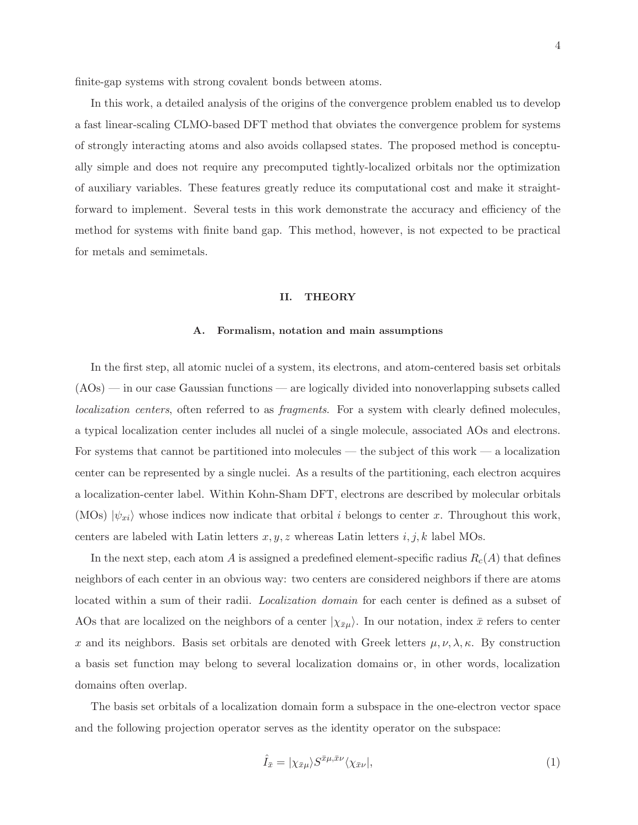finite-gap systems with strong covalent bonds between atoms.

In this work, a detailed analysis of the origins of the convergence problem enabled us to develop a fast linear-scaling CLMO-based DFT method that obviates the convergence problem for systems of strongly interacting atoms and also avoids collapsed states. The proposed method is conceptually simple and does not require any precomputed tightly-localized orbitals nor the optimization of auxiliary variables. These features greatly reduce its computational cost and make it straightforward to implement. Several tests in this work demonstrate the accuracy and efficiency of the method for systems with finite band gap. This method, however, is not expected to be practical for metals and semimetals.

## II. THEORY

## A. Formalism, notation and main assumptions

In the first step, all atomic nuclei of a system, its electrons, and atom-centered basis set orbitals (AOs) — in our case Gaussian functions — are logically divided into nonoverlapping subsets called *localization centers*, often referred to as *fragments*. For a system with clearly defined molecules, a typical localization center includes all nuclei of a single molecule, associated AOs and electrons. For systems that cannot be partitioned into molecules — the subject of this work — a localization center can be represented by a single nuclei. As a results of the partitioning, each electron acquires a localization-center label. Within Kohn-Sham DFT, electrons are described by molecular orbitals (MOs)  $|\psi_{xi}\rangle$  whose indices now indicate that orbital i belongs to center x. Throughout this work, centers are labeled with Latin letters  $x, y, z$  whereas Latin letters  $i, j, k$  label MOs.

In the next step, each atom A is assigned a predefined element-specific radius  $R_c(A)$  that defines neighbors of each center in an obvious way: two centers are considered neighbors if there are atoms located within a sum of their radii. *Localization domain* for each center is defined as a subset of AOs that are localized on the neighbors of a center  $|\chi_{\bar{x}\mu}\rangle$ . In our notation, index  $\bar{x}$  refers to center x and its neighbors. Basis set orbitals are denoted with Greek letters  $\mu, \nu, \lambda, \kappa$ . By construction a basis set function may belong to several localization domains or, in other words, localization domains often overlap.

The basis set orbitals of a localization domain form a subspace in the one-electron vector space and the following projection operator serves as the identity operator on the subspace:

$$
\hat{I}_{\bar{x}} = |\chi_{\bar{x}\mu}\rangle S^{\bar{x}\mu,\bar{x}\nu}\langle\chi_{\bar{x}\nu}|,\tag{1}
$$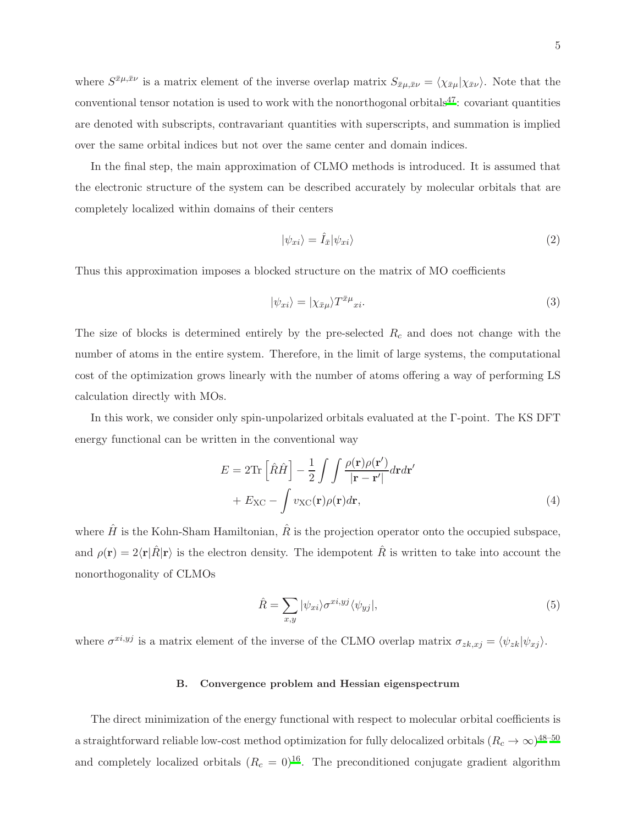where  $S^{\bar{x}\mu,\bar{x}\nu}$  is a matrix element of the inverse overlap matrix  $S_{\bar{x}\mu,\bar{x}\nu} = \langle \chi_{\bar{x}\mu} | \chi_{\bar{x}\nu} \rangle$ . Note that the conventional tensor notation is used to work with the nonorthogonal orbitals $^{47}$  $^{47}$  $^{47}$ : covariant quantities are denoted with subscripts, contravariant quantities with superscripts, and summation is implied over the same orbital indices but not over the same center and domain indices.

In the final step, the main approximation of CLMO methods is introduced. It is assumed that the electronic structure of the system can be described accurately by molecular orbitals that are completely localized within domains of their centers

$$
|\psi_{xi}\rangle = \hat{I}_{\bar{x}}|\psi_{xi}\rangle
$$
\n(2)

Thus this approximation imposes a blocked structure on the matrix of MO coefficients

$$
|\psi_{xi}\rangle = |\chi_{\bar{x}\mu}\rangle T^{\bar{x}\mu}x_i.
$$
\n(3)

The size of blocks is determined entirely by the pre-selected  $R_c$  and does not change with the number of atoms in the entire system. Therefore, in the limit of large systems, the computational cost of the optimization grows linearly with the number of atoms offering a way of performing LS calculation directly with MOs.

In this work, we consider only spin-unpolarized orbitals evaluated at the Γ-point. The KS DFT energy functional can be written in the conventional way

$$
E = 2\text{Tr}\left[\hat{R}\hat{H}\right] - \frac{1}{2} \int \int \frac{\rho(\mathbf{r})\rho(\mathbf{r}')}{|\mathbf{r} - \mathbf{r}'|} d\mathbf{r} d\mathbf{r}'
$$

$$
+ E_{\text{XC}} - \int v_{\text{XC}}(\mathbf{r})\rho(\mathbf{r}) d\mathbf{r}, \tag{4}
$$

where  $\hat{H}$  is the Kohn-Sham Hamiltonian,  $\hat{R}$  is the projection operator onto the occupied subspace, and  $\rho(\mathbf{r}) = 2\langle \mathbf{r} | \hat{R} | \mathbf{r} \rangle$  is the electron density. The idempotent  $\hat{R}$  is written to take into account the nonorthogonality of CLMOs

$$
\hat{R} = \sum_{x,y} |\psi_{xi}\rangle \sigma^{xi,yj} \langle \psi_{yj} |,
$$
\n(5)

where  $\sigma^{xi,yj}$  is a matrix element of the inverse of the CLMO overlap matrix  $\sigma_{zk,xy} = \langle \psi_{zk} | \psi_{xj} \rangle$ .

# B. Convergence problem and Hessian eigenspectrum

The direct minimization of the energy functional with respect to molecular orbital coefficients is a straightforward reliable low-cost method optimization for fully delocalized orbitals  $(R_c\rightarrow\infty)^{48-50}$  $(R_c\rightarrow\infty)^{48-50}$  $(R_c\rightarrow\infty)^{48-50}$ and completely localized orbitals  $(R_c = 0)^{16}$  $(R_c = 0)^{16}$  $(R_c = 0)^{16}$ . The preconditioned conjugate gradient algorithm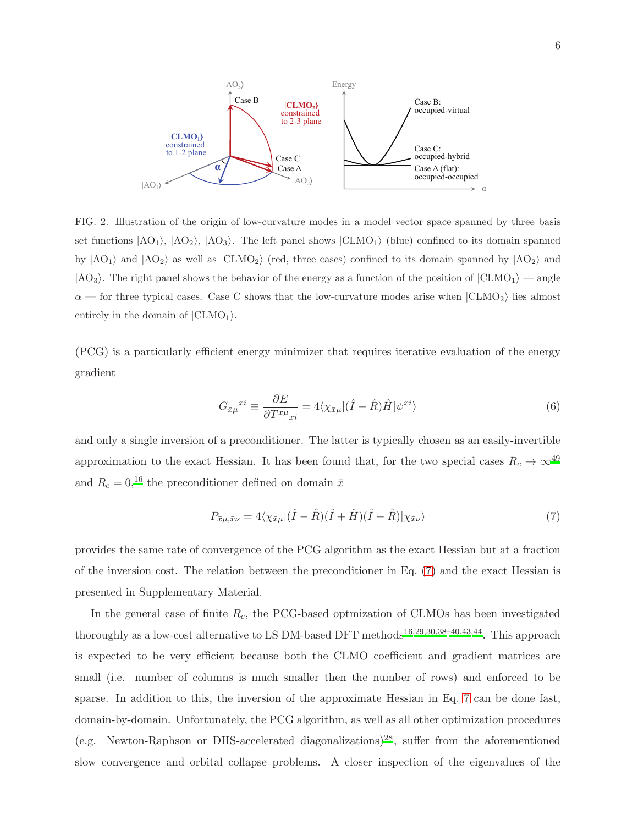

<span id="page-5-1"></span>FIG. 2. Illustration of the origin of low-curvature modes in a model vector space spanned by three basis set functions  $|AO_1\rangle$ ,  $|AO_2\rangle$ ,  $|AO_3\rangle$ . The left panel shows  $|CLMO_1\rangle$  (blue) confined to its domain spanned by  $|AO_1\rangle$  and  $|AO_2\rangle$  as well as  $|CLMO_2\rangle$  (red, three cases) confined to its domain spanned by  $|AO_2\rangle$  and  $|AO_3\rangle$ . The right panel shows the behavior of the energy as a function of the position of  $|CLMO_1\rangle$  — angle  $\alpha$  — for three typical cases. Case C shows that the low-curvature modes arise when  $|CLMO_2\rangle$  lies almost entirely in the domain of  $|CLMO_1\rangle$ .

(PCG) is a particularly efficient energy minimizer that requires iterative evaluation of the energy gradient

<span id="page-5-2"></span>
$$
G_{\bar{x}\mu}^{x i} \equiv \frac{\partial E}{\partial T^{\bar{x}\mu}_{x i}} = 4 \langle \chi_{\bar{x}\mu} | (\hat{I} - \hat{R}) \hat{H} | \psi^{x i} \rangle \tag{6}
$$

and only a single inversion of a preconditioner. The latter is typically chosen as an easily-invertible approximation to the exact Hessian. It has been found that, for the two special cases  $R_c \to \infty^{49}$  $R_c \to \infty^{49}$  $R_c \to \infty^{49}$ and  $R_c = 0,$ <sup>[16](#page-19-5)</sup> the preconditioner defined on domain  $\bar{x}$ 

<span id="page-5-0"></span>
$$
P_{\bar{x}\mu,\bar{x}\nu} = 4\langle \chi_{\bar{x}\mu} | (\hat{I} - \hat{R})(\hat{I} + \hat{H})(\hat{I} - \hat{R}) | \chi_{\bar{x}\nu} \rangle \tag{7}
$$

provides the same rate of convergence of the PCG algorithm as the exact Hessian but at a fraction of the inversion cost. The relation between the preconditioner in Eq. [\(7\)](#page-5-0) and the exact Hessian is presented in Supplementary Material.

In the general case of finite  $R_c$ , the PCG-based optmization of CLMOs has been investigated thoroughly as a low-cost alternative to LS DM-based DFT methods<sup>[16](#page-19-5)[,29](#page-20-0)[,30](#page-20-1)[,38](#page-20-7)-40[,43](#page-20-11)[,44](#page-20-13)</sup>. This approach is expected to be very efficient because both the CLMO coefficient and gradient matrices are small (i.e. number of columns is much smaller then the number of rows) and enforced to be sparse. In addition to this, the inversion of the approximate Hessian in Eq. [7](#page-5-0) can be done fast, domain-by-domain. Unfortunately, the PCG algorithm, as well as all other optimization procedures (e.g. Newton-Raphson or DIIS-accelerated diagonalizations)<sup>[28](#page-19-13)</sup>, suffer from the aforementioned slow convergence and orbital collapse problems. A closer inspection of the eigenvalues of the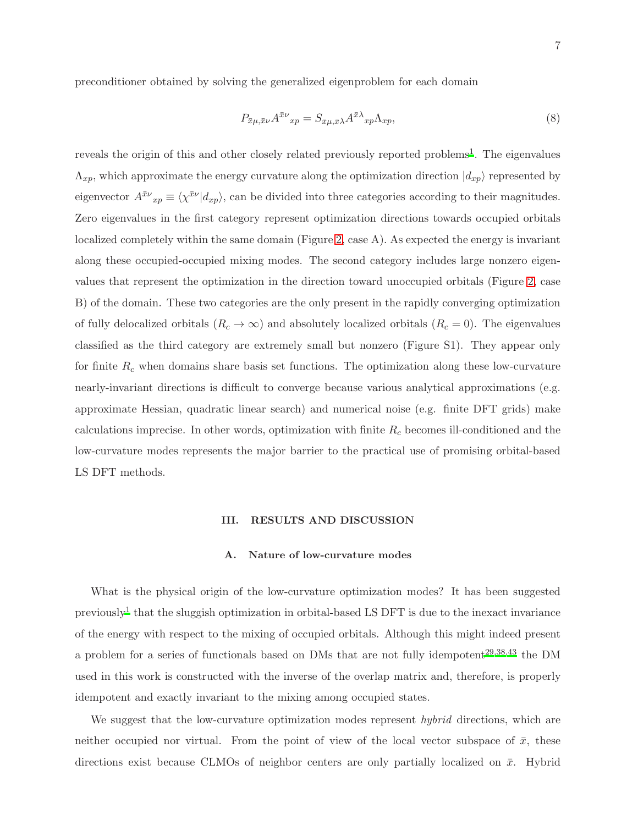preconditioner obtained by solving the generalized eigenproblem for each domain

<span id="page-6-0"></span>
$$
P_{\bar{x}\mu,\bar{x}\nu}A^{\bar{x}\nu}{}_{xp} = S_{\bar{x}\mu,\bar{x}\lambda}A^{\bar{x}\lambda}{}_{xp}\Lambda_{xp},\tag{8}
$$

reveals the origin of this and other closely related previously reported problems<sup>[1](#page-18-1)</sup>. The eigenvalues  $\Lambda_{xp}$ , which approximate the energy curvature along the optimization direction  $|d_{xp}\rangle$  represented by eigenvector  $A^{\bar{x}\nu}{}_{xp} \equiv \langle \chi^{\bar{x}\nu} | d_{xp} \rangle$ , can be divided into three categories according to their magnitudes. Zero eigenvalues in the first category represent optimization directions towards occupied orbitals localized completely within the same domain (Figure [2,](#page-5-1) case A). As expected the energy is invariant along these occupied-occupied mixing modes. The second category includes large nonzero eigenvalues that represent the optimization in the direction toward unoccupied orbitals (Figure [2,](#page-5-1) case B) of the domain. These two categories are the only present in the rapidly converging optimization of fully delocalized orbitals  $(R_c \to \infty)$  and absolutely localized orbitals  $(R_c = 0)$ . The eigenvalues classified as the third category are extremely small but nonzero (Figure S1). They appear only for finite  $R_c$  when domains share basis set functions. The optimization along these low-curvature nearly-invariant directions is difficult to converge because various analytical approximations (e.g. approximate Hessian, quadratic linear search) and numerical noise (e.g. finite DFT grids) make calculations imprecise. In other words, optimization with finite  $R_c$  becomes ill-conditioned and the low-curvature modes represents the major barrier to the practical use of promising orbital-based LS DFT methods.

# III. RESULTS AND DISCUSSION

## A. Nature of low-curvature modes

What is the physical origin of the low-curvature optimization modes? It has been suggested previously<sup>[1](#page-18-1)</sup> that the sluggish optimization in orbital-based LS DFT is due to the inexact invariance of the energy with respect to the mixing of occupied orbitals. Although this might indeed present a problem for a series of functionals based on DMs that are not fully idempotent<sup>[29](#page-20-0)[,38](#page-20-7)[,43](#page-20-11)</sup> the DM used in this work is constructed with the inverse of the overlap matrix and, therefore, is properly idempotent and exactly invariant to the mixing among occupied states.

We suggest that the low-curvature optimization modes represent *hybrid* directions, which are neither occupied nor virtual. From the point of view of the local vector subspace of  $\bar{x}$ , these directions exist because CLMOs of neighbor centers are only partially localized on  $\bar{x}$ . Hybrid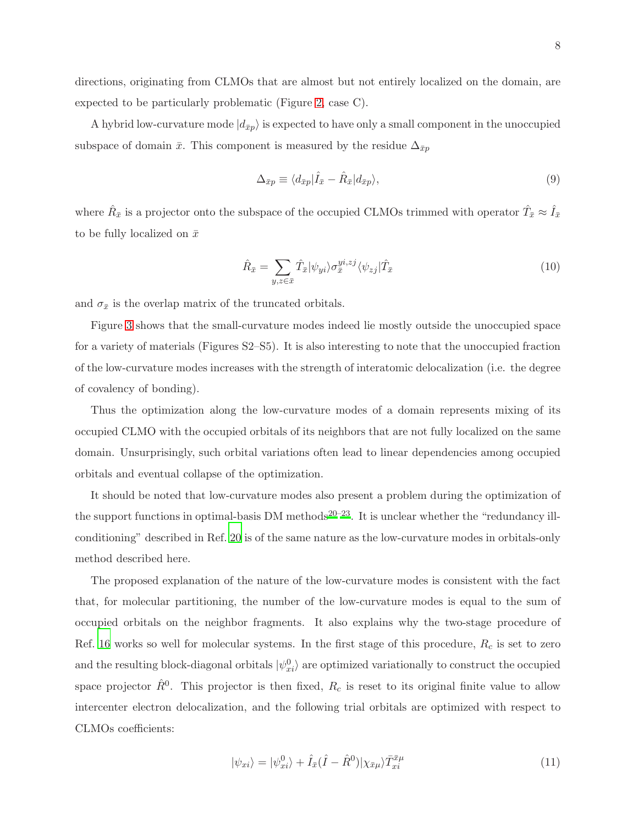directions, originating from CLMOs that are almost but not entirely localized on the domain, are expected to be particularly problematic (Figure [2,](#page-5-1) case C).

A hybrid low-curvature mode  $|d_{\bar{x}p}\rangle$  is expected to have only a small component in the unoccupied subspace of domain  $\bar{x}$ . This component is measured by the residue  $\Delta_{\bar{x}p}$ 

$$
\Delta_{\bar{x}p} \equiv \langle d_{\bar{x}p} | \hat{I}_{\bar{x}} - \hat{R}_{\bar{x}} | d_{\bar{x}p} \rangle, \tag{9}
$$

where  $\hat{R}_{\bar{x}}$  is a projector onto the subspace of the occupied CLMOs trimmed with operator  $\hat{T}_{\bar{x}} \approx \hat{I}_{\bar{x}}$ to be fully localized on  $\bar{x}$ 

<span id="page-7-0"></span>
$$
\hat{R}_{\bar{x}} = \sum_{y,z \in \bar{x}} \hat{T}_{\bar{x}} |\psi_{yi}\rangle \sigma_{\bar{x}}^{yi, zj} \langle \psi_{zj} | \hat{T}_{\bar{x}} \tag{10}
$$

and  $\sigma_{\bar{x}}$  is the overlap matrix of the truncated orbitals.

Figure [3](#page-8-0) shows that the small-curvature modes indeed lie mostly outside the unoccupied space for a variety of materials (Figures S2–S5). It is also interesting to note that the unoccupied fraction of the low-curvature modes increases with the strength of interatomic delocalization (i.e. the degree of covalency of bonding).

Thus the optimization along the low-curvature modes of a domain represents mixing of its occupied CLMO with the occupied orbitals of its neighbors that are not fully localized on the same domain. Unsurprisingly, such orbital variations often lead to linear dependencies among occupied orbitals and eventual collapse of the optimization.

It should be noted that low-curvature modes also present a problem during the optimization of the support functions in optimal-basis DM methods<sup>[20](#page-19-8)[–23](#page-19-9)</sup>. It is unclear whether the "redundancy illconditioning" described in Ref. [20](#page-19-8) is of the same nature as the low-curvature modes in orbitals-only method described here.

The proposed explanation of the nature of the low-curvature modes is consistent with the fact that, for molecular partitioning, the number of the low-curvature modes is equal to the sum of occupied orbitals on the neighbor fragments. It also explains why the two-stage procedure of Ref. [16](#page-19-5) works so well for molecular systems. In the first stage of this procedure,  $R_c$  is set to zero and the resulting block-diagonal orbitals  $|\psi_{xi}^{0}\rangle$  are optimized variationally to construct the occupied space projector  $\hat{R}^0$ . This projector is then fixed,  $R_c$  is reset to its original finite value to allow intercenter electron delocalization, and the following trial orbitals are optimized with respect to CLMOs coefficients:

$$
|\psi_{xi}\rangle = |\psi_{xi}^{0}\rangle + \hat{I}_{\bar{x}}(\hat{I} - \hat{R}^{0})|\chi_{\bar{x}\mu}\rangle \bar{T}_{xi}^{\bar{x}\mu}
$$
\n(11)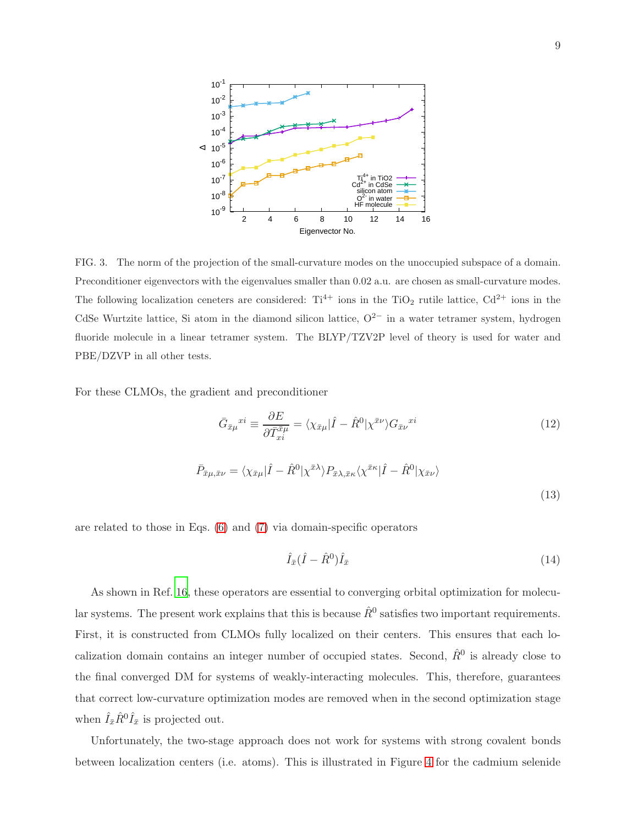

<span id="page-8-0"></span>FIG. 3. The norm of the projection of the small-curvature modes on the unoccupied subspace of a domain. Preconditioner eigenvectors with the eigenvalues smaller than 0.02 a.u. are chosen as small-curvature modes. The following localization ceneters are considered:  $Ti^{4+}$  ions in the TiO<sub>2</sub> rutile lattice,  $Cd^{2+}$  ions in the CdSe Wurtzite lattice, Si atom in the diamond silicon lattice,  $O^{2-}$  in a water tetramer system, hydrogen fluoride molecule in a linear tetramer system. The BLYP/TZV2P level of theory is used for water and PBE/DZVP in all other tests.

For these CLMOs, the gradient and preconditioner

$$
\bar{G}_{\bar{x}\mu}^{xi} \equiv \frac{\partial E}{\partial \bar{T}_{xi}^{\bar{x}\mu}} = \langle \chi_{\bar{x}\mu} | \hat{I} - \hat{R}^{0} | \chi^{\bar{x}\nu} \rangle G_{\bar{x}\nu}^{xi}
$$
\n
$$
\bar{P}_{\bar{x}\mu, \bar{x}\nu} = \langle \chi_{\bar{x}\mu} | \hat{I} - \hat{R}^{0} | \chi^{\bar{x}\lambda} \rangle P_{\bar{x}\lambda, \bar{x}\kappa} \langle \chi^{\bar{x}\kappa} | \hat{I} - \hat{R}^{0} | \chi_{\bar{x}\nu} \rangle
$$
\n(12)

are related to those in Eqs. [\(6\)](#page-5-2) and [\(7\)](#page-5-0) via domain-specific operators

<span id="page-8-1"></span>
$$
\hat{I}_{\bar{x}}(\hat{I} - \hat{R}^0)\hat{I}_{\bar{x}} \tag{14}
$$

As shown in Ref. [16](#page-19-5), these operators are essential to converging orbital optimization for molecular systems. The present work explains that this is because  $\hat{R}^0$  satisfies two important requirements. First, it is constructed from CLMOs fully localized on their centers. This ensures that each localization domain contains an integer number of occupied states. Second,  $\hat{R}^0$  is already close to the final converged DM for systems of weakly-interacting molecules. This, therefore, guarantees that correct low-curvature optimization modes are removed when in the second optimization stage when  $\hat{I}_{\bar{x}}\hat{R}^0\hat{I}_{\bar{x}}$  is projected out.

Unfortunately, the two-stage approach does not work for systems with strong covalent bonds between localization centers (i.e. atoms). This is illustrated in Figure [4](#page-12-0) for the cadmium selenide

(13)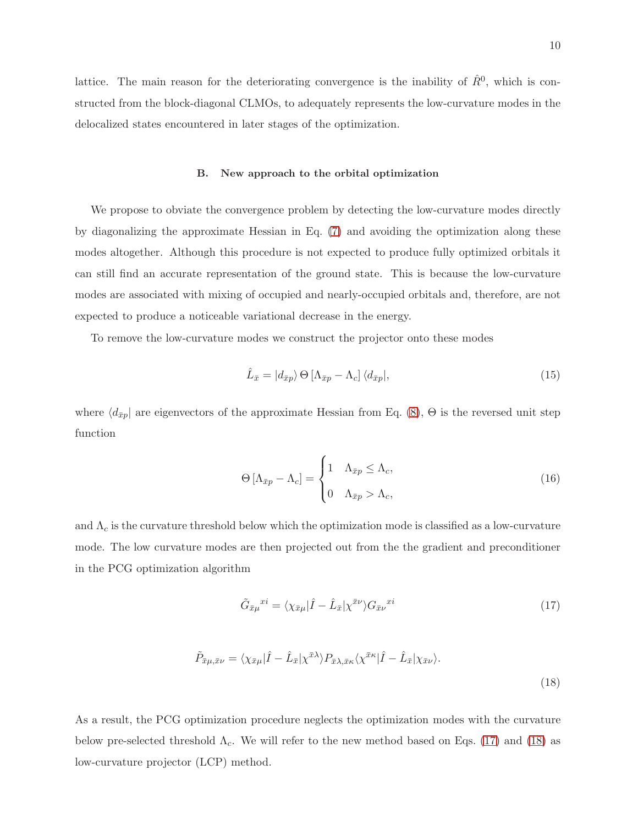lattice. The main reason for the deteriorating convergence is the inability of  $\hat{R}^0$ , which is constructed from the block-diagonal CLMOs, to adequately represents the low-curvature modes in the delocalized states encountered in later stages of the optimization.

## B. New approach to the orbital optimization

We propose to obviate the convergence problem by detecting the low-curvature modes directly by diagonalizing the approximate Hessian in Eq. [\(7\)](#page-5-0) and avoiding the optimization along these modes altogether. Although this procedure is not expected to produce fully optimized orbitals it can still find an accurate representation of the ground state. This is because the low-curvature modes are associated with mixing of occupied and nearly-occupied orbitals and, therefore, are not expected to produce a noticeable variational decrease in the energy.

To remove the low-curvature modes we construct the projector onto these modes

$$
\hat{L}_{\bar{x}} = |d_{\bar{x}p}\rangle \Theta \left[\Lambda_{\bar{x}p} - \Lambda_c\right] \langle d_{\bar{x}p}|,\tag{15}
$$

where  $\langle d_{\bar{x}p} |$  are eigenvectors of the approximate Hessian from Eq. [\(8\)](#page-6-0),  $\Theta$  is the reversed unit step function

$$
\Theta\left[\Lambda_{\bar{x}p} - \Lambda_c\right] = \begin{cases} 1 & \Lambda_{\bar{x}p} \le \Lambda_c, \\ 0 & \Lambda_{\bar{x}p} > \Lambda_c, \end{cases} \tag{16}
$$

and  $\Lambda_c$  is the curvature threshold below which the optimization mode is classified as a low-curvature mode. The low curvature modes are then projected out from the the gradient and preconditioner in the PCG optimization algorithm

<span id="page-9-0"></span>
$$
\tilde{G}_{\bar{x}\mu}^{x i} = \langle \chi_{\bar{x}\mu} | \hat{I} - \hat{L}_{\bar{x}} | \chi^{\bar{x}\nu} \rangle G_{\bar{x}\nu}^{x i} \tag{17}
$$

<span id="page-9-1"></span>
$$
\tilde{P}_{\bar{x}\mu,\bar{x}\nu} = \langle \chi_{\bar{x}\mu} | \hat{I} - \hat{L}_{\bar{x}} | \chi^{\bar{x}\lambda} \rangle P_{\bar{x}\lambda,\bar{x}\kappa} \langle \chi^{\bar{x}\kappa} | \hat{I} - \hat{L}_{\bar{x}} | \chi_{\bar{x}\nu} \rangle.
$$
\n(18)

As a result, the PCG optimization procedure neglects the optimization modes with the curvature below pre-selected threshold  $\Lambda_c$ . We will refer to the new method based on Eqs. [\(17\)](#page-9-0) and [\(18\)](#page-9-1) as low-curvature projector (LCP) method.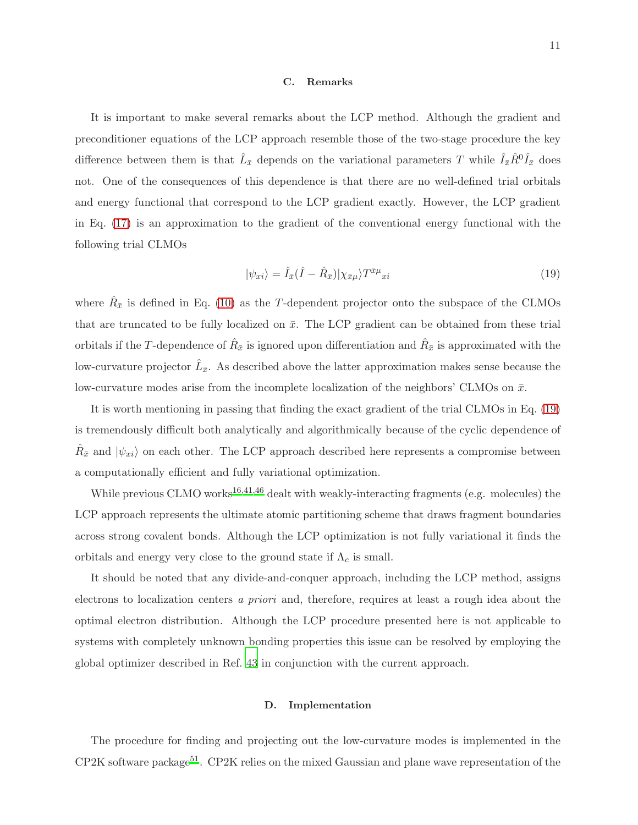#### C. Remarks

It is important to make several remarks about the LCP method. Although the gradient and preconditioner equations of the LCP approach resemble those of the two-stage procedure the key difference between them is that  $\hat{L}_{\bar{x}}$  depends on the variational parameters T while  $\hat{I}_{\bar{x}}\hat{R}^0\hat{I}_{\bar{x}}$  does not. One of the consequences of this dependence is that there are no well-defined trial orbitals and energy functional that correspond to the LCP gradient exactly. However, the LCP gradient in Eq. [\(17\)](#page-9-0) is an approximation to the gradient of the conventional energy functional with the following trial CLMOs

<span id="page-10-0"></span>
$$
|\psi_{xi}\rangle = \hat{I}_{\bar{x}}(\hat{I} - \hat{R}_{\bar{x}})|\chi_{\bar{x}\mu}\rangle T^{\bar{x}\mu}{}_{xi}
$$
\n(19)

where  $\hat{R}_{\bar{x}}$  is defined in Eq. [\(10\)](#page-7-0) as the T-dependent projector onto the subspace of the CLMOs that are truncated to be fully localized on  $\bar{x}$ . The LCP gradient can be obtained from these trial orbitals if the T-dependence of  $\hat{R}_{\bar{x}}$  is ignored upon differentiation and  $\hat{R}_{\bar{x}}$  is approximated with the low-curvature projector  $\hat{L}_{\bar{x}}$ . As described above the latter approximation makes sense because the low-curvature modes arise from the incomplete localization of the neighbors' CLMOs on  $\bar{x}$ .

It is worth mentioning in passing that finding the exact gradient of the trial CLMOs in Eq. [\(19\)](#page-10-0) is tremendously difficult both analytically and algorithmically because of the cyclic dependence of  $\hat{R}_{\bar{x}}$  and  $|\psi_{xi}\rangle$  on each other. The LCP approach described here represents a compromise between a computationally efficient and fully variational optimization.

While previous CLMO works<sup>[16](#page-19-5)[,41](#page-20-8)[,46](#page-21-0)</sup> dealt with weakly-interacting fragments (e.g. molecules) the LCP approach represents the ultimate atomic partitioning scheme that draws fragment boundaries across strong covalent bonds. Although the LCP optimization is not fully variational it finds the orbitals and energy very close to the ground state if  $\Lambda_c$  is small.

It should be noted that any divide-and-conquer approach, including the LCP method, assigns electrons to localization centers *a priori* and, therefore, requires at least a rough idea about the optimal electron distribution. Although the LCP procedure presented here is not applicable to systems with completely unknown bonding properties this issue can be resolved by employing the global optimizer described in Ref. [43](#page-20-11) in conjunction with the current approach.

## D. Implementation

The procedure for finding and projecting out the low-curvature modes is implemented in the  $CP2K$  software package<sup>[51](#page-21-5)</sup>. CP2K relies on the mixed Gaussian and plane wave representation of the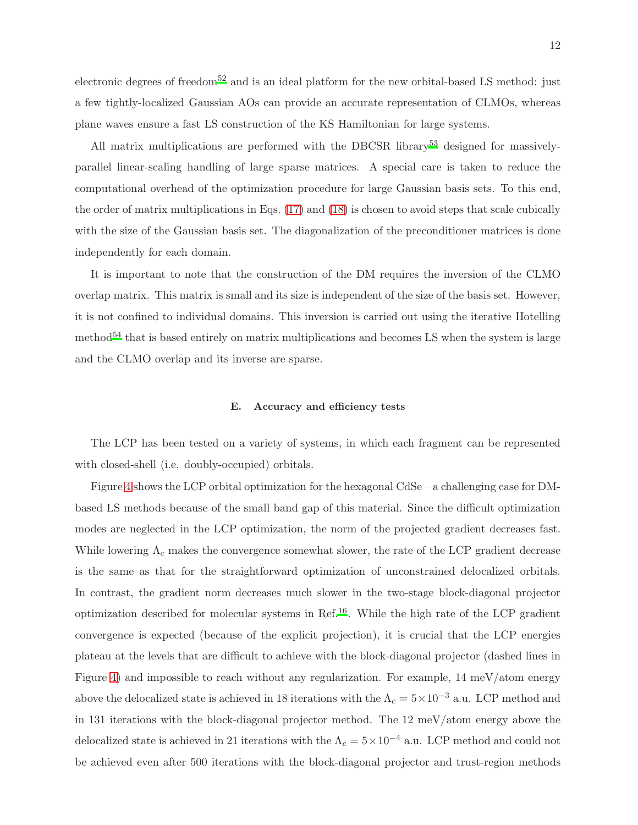electronic degrees of freedom<sup>[52](#page-21-6)</sup> and is an ideal platform for the new orbital-based LS method: just a few tightly-localized Gaussian AOs can provide an accurate representation of CLMOs, whereas plane waves ensure a fast LS construction of the KS Hamiltonian for large systems.

All matrix multiplications are performed with the DBCSR library<sup>[53](#page-21-7)</sup> designed for massivelyparallel linear-scaling handling of large sparse matrices. A special care is taken to reduce the computational overhead of the optimization procedure for large Gaussian basis sets. To this end, the order of matrix multiplications in Eqs. [\(17\)](#page-9-0) and [\(18\)](#page-9-1) is chosen to avoid steps that scale cubically with the size of the Gaussian basis set. The diagonalization of the preconditioner matrices is done independently for each domain.

It is important to note that the construction of the DM requires the inversion of the CLMO overlap matrix. This matrix is small and its size is independent of the size of the basis set. However, it is not confined to individual domains. This inversion is carried out using the iterative Hotelling method<sup>[54](#page-21-8)</sup> that is based entirely on matrix multiplications and becomes LS when the system is large and the CLMO overlap and its inverse are sparse.

## E. Accuracy and efficiency tests

The LCP has been tested on a variety of systems, in which each fragment can be represented with closed-shell (i.e. doubly-occupied) orbitals.

Figure [4](#page-12-0) shows the LCP orbital optimization for the hexagonal CdSe – a challenging case for DMbased LS methods because of the small band gap of this material. Since the difficult optimization modes are neglected in the LCP optimization, the norm of the projected gradient decreases fast. While lowering  $\Lambda_c$  makes the convergence somewhat slower, the rate of the LCP gradient decrease is the same as that for the straightforward optimization of unconstrained delocalized orbitals. In contrast, the gradient norm decreases much slower in the two-stage block-diagonal projector optimization described for molecular systems in Ref.<sup>[16](#page-19-5)</sup>. While the high rate of the LCP gradient convergence is expected (because of the explicit projection), it is crucial that the LCP energies plateau at the levels that are difficult to achieve with the block-diagonal projector (dashed lines in Figure [4\)](#page-12-0) and impossible to reach without any regularization. For example, 14 meV/atom energy above the delocalized state is achieved in 18 iterations with the  $\Lambda_c = 5 \times 10^{-3}$  a.u. LCP method and in 131 iterations with the block-diagonal projector method. The 12 meV/atom energy above the delocalized state is achieved in 21 iterations with the  $\Lambda_c = 5 \times 10^{-4}$  a.u. LCP method and could not be achieved even after 500 iterations with the block-diagonal projector and trust-region methods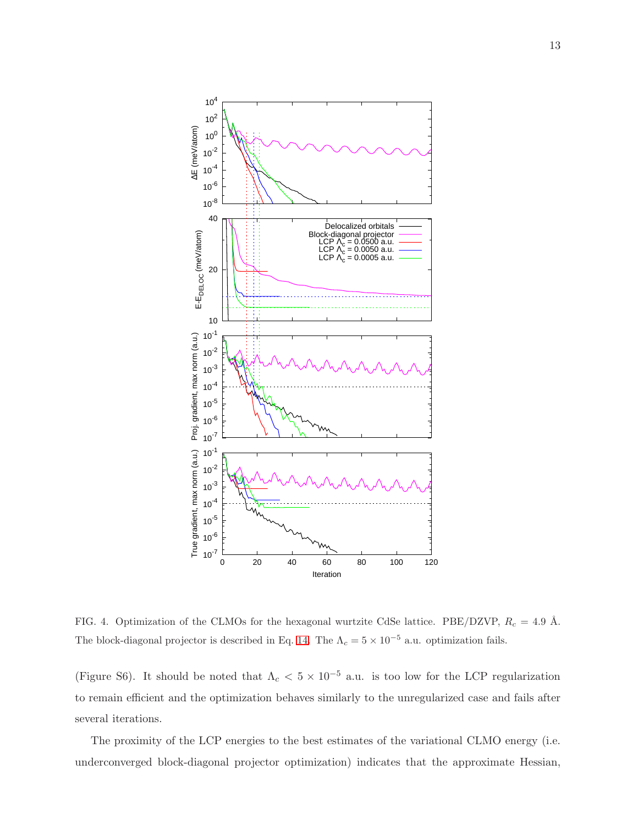

<span id="page-12-0"></span>FIG. 4. Optimization of the CLMOs for the hexagonal wurtzite CdSe lattice. PBE/DZVP,  $R_c = 4.9 \text{ Å}.$ The block-diagonal projector is described in Eq. [14.](#page-8-1) The  $\Lambda_c = 5 \times 10^{-5}$  a.u. optimization fails.

(Figure S6). It should be noted that  $\Lambda_c < 5 \times 10^{-5}$  a.u. is too low for the LCP regularization to remain efficient and the optimization behaves similarly to the unregularized case and fails after several iterations.

The proximity of the LCP energies to the best estimates of the variational CLMO energy (i.e. underconverged block-diagonal projector optimization) indicates that the approximate Hessian,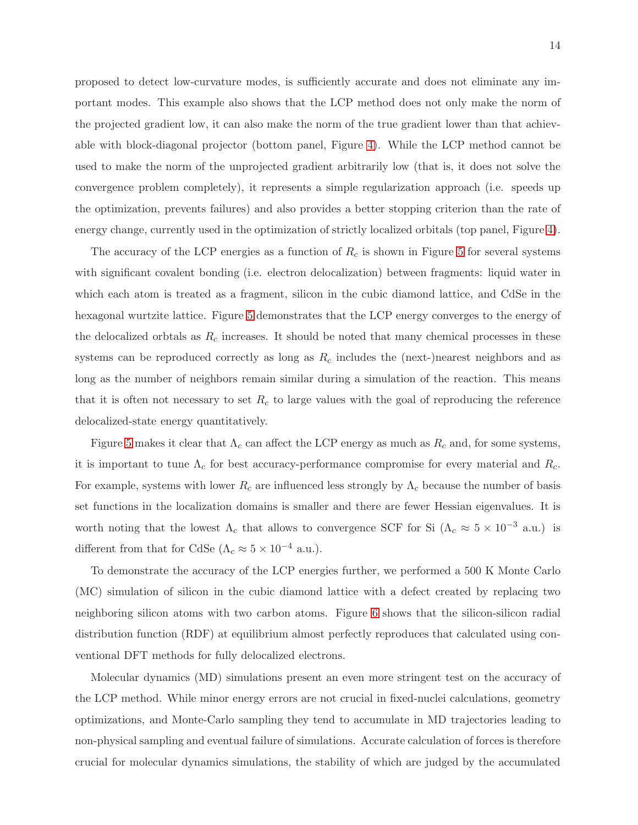proposed to detect low-curvature modes, is sufficiently accurate and does not eliminate any important modes. This example also shows that the LCP method does not only make the norm of the projected gradient low, it can also make the norm of the true gradient lower than that achievable with block-diagonal projector (bottom panel, Figure [4\)](#page-12-0). While the LCP method cannot be used to make the norm of the unprojected gradient arbitrarily low (that is, it does not solve the convergence problem completely), it represents a simple regularization approach (i.e. speeds up the optimization, prevents failures) and also provides a better stopping criterion than the rate of energy change, currently used in the optimization of strictly localized orbitals (top panel, Figure [4\)](#page-12-0).

The accuracy of the LCP energies as a function of  $R_c$  is shown in Figure [5](#page-14-0) for several systems with significant covalent bonding (i.e. electron delocalization) between fragments: liquid water in which each atom is treated as a fragment, silicon in the cubic diamond lattice, and CdSe in the hexagonal wurtzite lattice. Figure [5](#page-14-0) demonstrates that the LCP energy converges to the energy of the delocalized orbtals as  $R_c$  increases. It should be noted that many chemical processes in these systems can be reproduced correctly as long as  $R_c$  includes the (next-)nearest neighbors and as long as the number of neighbors remain similar during a simulation of the reaction. This means that it is often not necessary to set  $R_c$  to large values with the goal of reproducing the reference delocalized-state energy quantitatively.

Figure [5](#page-14-0) makes it clear that  $\Lambda_c$  can affect the LCP energy as much as  $R_c$  and, for some systems, it is important to tune  $\Lambda_c$  for best accuracy-performance compromise for every material and  $R_c$ . For example, systems with lower  $R_c$  are influenced less strongly by  $\Lambda_c$  because the number of basis set functions in the localization domains is smaller and there are fewer Hessian eigenvalues. It is worth noting that the lowest  $\Lambda_c$  that allows to convergence SCF for Si  $(\Lambda_c \approx 5 \times 10^{-3} \text{ a.u.})$  is different from that for CdSe ( $\Lambda_c \approx 5 \times 10^{-4}$  a.u.).

To demonstrate the accuracy of the LCP energies further, we performed a 500 K Monte Carlo (MC) simulation of silicon in the cubic diamond lattice with a defect created by replacing two neighboring silicon atoms with two carbon atoms. Figure [6](#page-15-0) shows that the silicon-silicon radial distribution function (RDF) at equilibrium almost perfectly reproduces that calculated using conventional DFT methods for fully delocalized electrons.

Molecular dynamics (MD) simulations present an even more stringent test on the accuracy of the LCP method. While minor energy errors are not crucial in fixed-nuclei calculations, geometry optimizations, and Monte-Carlo sampling they tend to accumulate in MD trajectories leading to non-physical sampling and eventual failure of simulations. Accurate calculation of forces is therefore crucial for molecular dynamics simulations, the stability of which are judged by the accumulated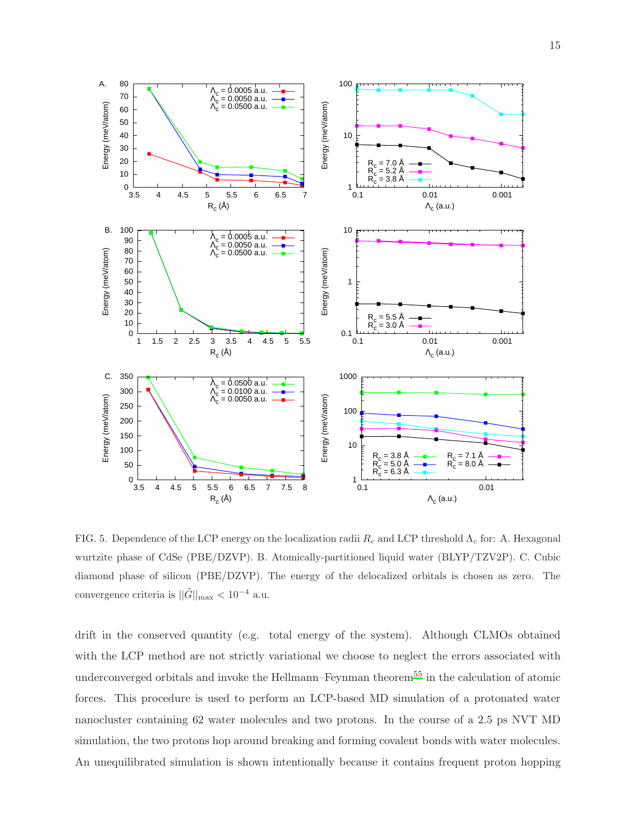

<span id="page-14-0"></span>FIG. 5. Dependence of the LCP energy on the localization radii  $R_c$  and LCP threshold  $\Lambda_c$  for: A. Hexagonal wurtzite phase of CdSe (PBE/DZVP). B. Atomically-partitioned liquid water (BLYP/TZV2P). C. Cubic diamond phase of silicon (PBE/DZVP). The energy of the delocalized orbitals is chosen as zero. The convergence criteria is  $||\tilde{G}||_{\rm max} < 10^{-4}$  a.u.

drift in the conserved quantity (e.g. total energy of the system). Although CLMOs obtained with the LCP method are not strictly variational we choose to neglect the errors associated with underconverged orbitals and invoke the Hellmann–Feynman theorem<sup>[55](#page-21-9)</sup> in the calculation of atomic forces. This procedure is used to perform an LCP-based MD simulation of a protonated water nanocluster containing 62 water molecules and two protons. In the course of a 2.5 ps NVT MD simulation, the two protons hop around breaking and forming covalent bonds with water molecules. An unequilibrated simulation is shown intentionally because it contains frequent proton hopping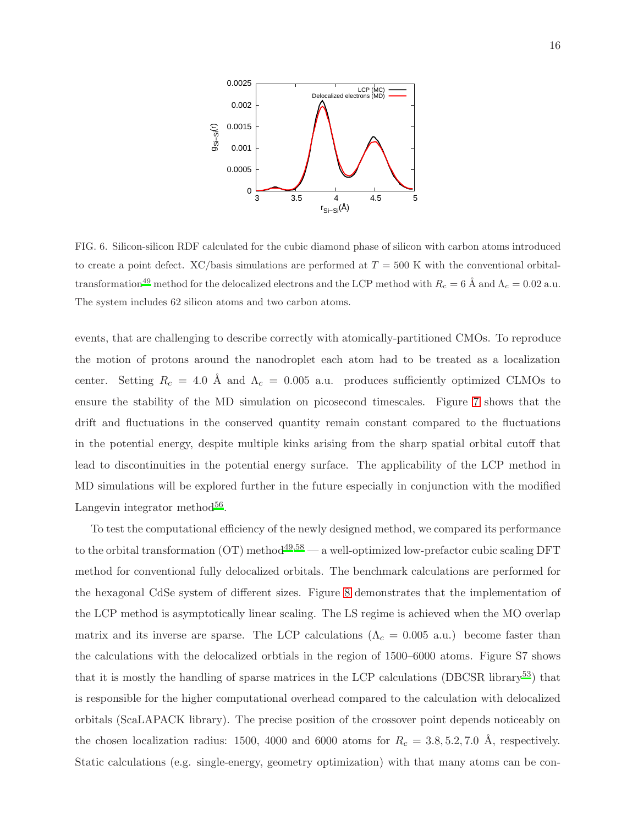

<span id="page-15-0"></span>FIG. 6. Silicon-silicon RDF calculated for the cubic diamond phase of silicon with carbon atoms introduced to create a point defect. XC/basis simulations are performed at  $T = 500$  K with the conventional orbitaltra[n](#page-21-4)sformation<sup>49</sup> method for the delocalized electrons and the LCP method with  $R_c = 6$  Å and  $\Lambda_c = 0.02$  a.u. The system includes 62 silicon atoms and two carbon atoms.

events, that are challenging to describe correctly with atomically-partitioned CMOs. To reproduce the motion of protons around the nanodroplet each atom had to be treated as a localization center. Setting  $R_c = 4.0 \text{ Å}$  and  $\Lambda_c = 0.005 \text{ a.u.}$  produces sufficiently optimized CLMOs to ensure the stability of the MD simulation on picosecond timescales. Figure [7](#page-16-0) shows that the drift and fluctuations in the conserved quantity remain constant compared to the fluctuations in the potential energy, despite multiple kinks arising from the sharp spatial orbital cutoff that lead to discontinuities in the potential energy surface. The applicability of the LCP method in MD simulations will be explored further in the future especially in conjunction with the modified Langevin integrator method<sup>[56](#page-21-10)</sup>.

To test the computational efficiency of the newly designed method, we compared its performance to the orbital transformation  $(OT)$  method<sup>[49](#page-21-4)[,58](#page-21-11)</sup> — a well-optimized low-prefactor cubic scaling DFT method for conventional fully delocalized orbitals. The benchmark calculations are performed for the hexagonal CdSe system of different sizes. Figure [8](#page-16-1) demonstrates that the implementation of the LCP method is asymptotically linear scaling. The LS regime is achieved when the MO overlap matrix and its inverse are sparse. The LCP calculations  $(\Lambda_c = 0.005 \text{ a.u.})$  become faster than the calculations with the delocalized orbtials in the region of 1500–6000 atoms. Figure S7 shows that it is mostly the handling of sparse matrices in the LCP calculations (DBCSR library[53](#page-21-7)) that is responsible for the higher computational overhead compared to the calculation with delocalized orbitals (ScaLAPACK library). The precise position of the crossover point depends noticeably on the chosen localization radius: 1500, 4000 and 6000 atoms for  $R_c = 3.8, 5.2, 7.0$  Å, respectively. Static calculations (e.g. single-energy, geometry optimization) with that many atoms can be con-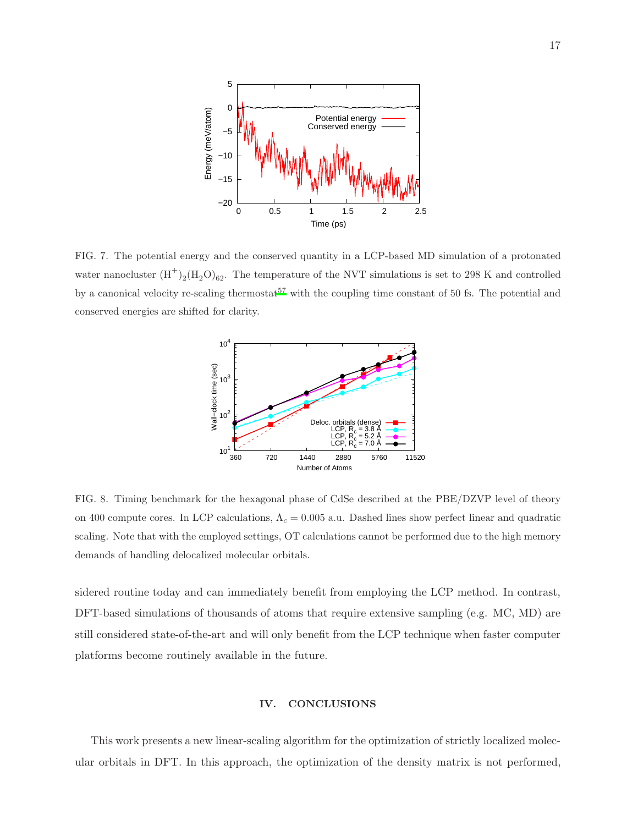

<span id="page-16-0"></span>FIG. 7. The potential energy and the conserved quantity in a LCP-based MD simulation of a protonated water nanocluster  $(H^+)_2(H_2O)_{62}$ . The temperature of the NVT simulations is set to 298 K and controlled by a canonical veloci[t](#page-21-12)y re-scaling thermostat<sup>57</sup> with the coupling time constant of 50 fs. The potential and conserved energies are shifted for clarity.



<span id="page-16-1"></span>FIG. 8. Timing benchmark for the hexagonal phase of CdSe described at the PBE/DZVP level of theory on 400 compute cores. In LCP calculations,  $\Lambda_c = 0.005$  a.u. Dashed lines show perfect linear and quadratic scaling. Note that with the employed settings, OT calculations cannot be performed due to the high memory demands of handling delocalized molecular orbitals.

sidered routine today and can immediately benefit from employing the LCP method. In contrast, DFT-based simulations of thousands of atoms that require extensive sampling (e.g. MC, MD) are still considered state-of-the-art and will only benefit from the LCP technique when faster computer platforms become routinely available in the future.

# IV. CONCLUSIONS

This work presents a new linear-scaling algorithm for the optimization of strictly localized molecular orbitals in DFT. In this approach, the optimization of the density matrix is not performed,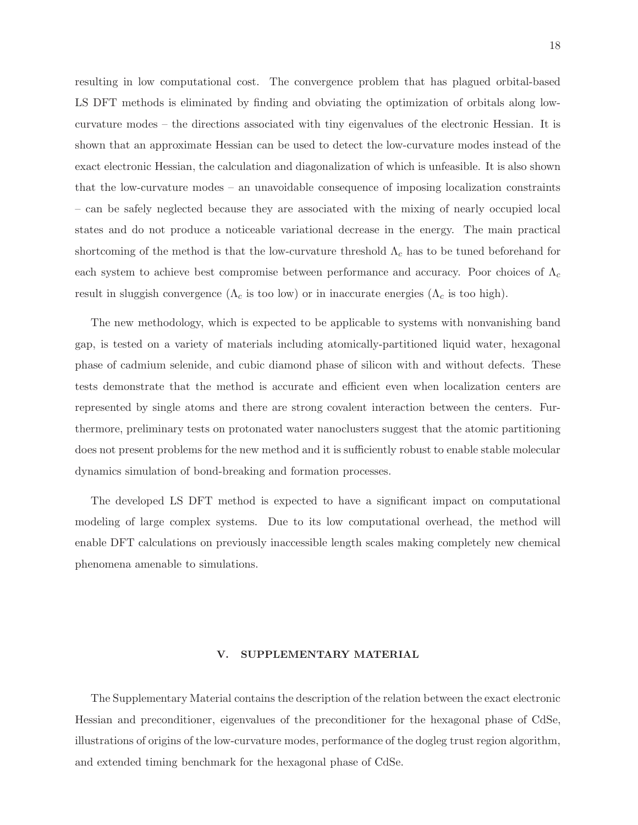resulting in low computational cost. The convergence problem that has plagued orbital-based LS DFT methods is eliminated by finding and obviating the optimization of orbitals along lowcurvature modes – the directions associated with tiny eigenvalues of the electronic Hessian. It is shown that an approximate Hessian can be used to detect the low-curvature modes instead of the exact electronic Hessian, the calculation and diagonalization of which is unfeasible. It is also shown that the low-curvature modes – an unavoidable consequence of imposing localization constraints – can be safely neglected because they are associated with the mixing of nearly occupied local states and do not produce a noticeable variational decrease in the energy. The main practical shortcoming of the method is that the low-curvature threshold  $\Lambda_c$  has to be tuned beforehand for each system to achieve best compromise between performance and accuracy. Poor choices of  $\Lambda_c$ result in sluggish convergence ( $\Lambda_c$  is too low) or in inaccurate energies ( $\Lambda_c$  is too high).

The new methodology, which is expected to be applicable to systems with nonvanishing band gap, is tested on a variety of materials including atomically-partitioned liquid water, hexagonal phase of cadmium selenide, and cubic diamond phase of silicon with and without defects. These tests demonstrate that the method is accurate and efficient even when localization centers are represented by single atoms and there are strong covalent interaction between the centers. Furthermore, preliminary tests on protonated water nanoclusters suggest that the atomic partitioning does not present problems for the new method and it is sufficiently robust to enable stable molecular dynamics simulation of bond-breaking and formation processes.

The developed LS DFT method is expected to have a significant impact on computational modeling of large complex systems. Due to its low computational overhead, the method will enable DFT calculations on previously inaccessible length scales making completely new chemical phenomena amenable to simulations.

## V. SUPPLEMENTARY MATERIAL

The Supplementary Material contains the description of the relation between the exact electronic Hessian and preconditioner, eigenvalues of the preconditioner for the hexagonal phase of CdSe, illustrations of origins of the low-curvature modes, performance of the dogleg trust region algorithm, and extended timing benchmark for the hexagonal phase of CdSe.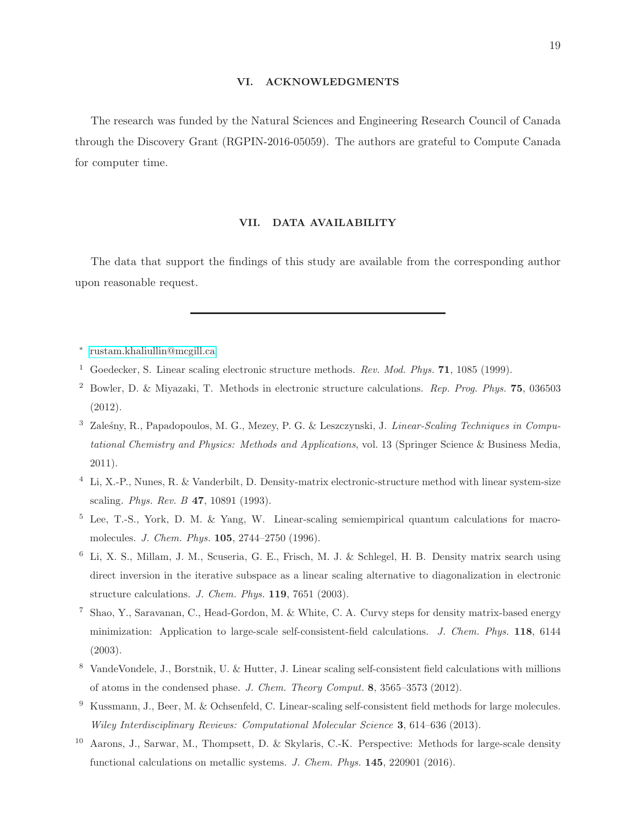# VI. ACKNOWLEDGMENTS

The research was funded by the Natural Sciences and Engineering Research Council of Canada through the Discovery Grant (RGPIN-2016-05059). The authors are grateful to Compute Canada for computer time.

# VII. DATA AVAILABILITY

The data that support the findings of this study are available from the corresponding author upon reasonable request.

- ∗ [rustam.khaliullin@mcgill.ca](mailto:rustam.khaliullin@mcgill.ca)
- <span id="page-18-1"></span><span id="page-18-0"></span><sup>1</sup> Goedecker, S. Linear scaling electronic structure methods. *Rev. Mod. Phys.* 71, 1085 (1999).
- <span id="page-18-7"></span><sup>2</sup> Bowler, D. & Miyazaki, T. Methods in electronic structure calculations. *Rep. Prog. Phys.* 75, 036503 (2012).
- <span id="page-18-2"></span><sup>3</sup> Zaleśny, R., Papadopoulos, M. G., Mezey, P. G. & Leszczynski, J. *Linear-Scaling Techniques in Computational Chemistry and Physics: Methods and Applications*, vol. 13 (Springer Science & Business Media, 2011).
- <span id="page-18-3"></span><sup>4</sup> Li, X.-P., Nunes, R. & Vanderbilt, D. Density-matrix electronic-structure method with linear system-size scaling. *Phys. Rev. B* 47, 10891 (1993).
- <sup>5</sup> Lee, T.-S., York, D. M. & Yang, W. Linear-scaling semiempirical quantum calculations for macromolecules. *J. Chem. Phys.* 105, 2744–2750 (1996).
- <sup>6</sup> Li, X. S., Millam, J. M., Scuseria, G. E., Frisch, M. J. & Schlegel, H. B. Density matrix search using direct inversion in the iterative subspace as a linear scaling alternative to diagonalization in electronic structure calculations. *J. Chem. Phys.* 119, 7651 (2003).
- <span id="page-18-5"></span><sup>7</sup> Shao, Y., Saravanan, C., Head-Gordon, M. & White, C. A. Curvy steps for density matrix-based energy minimization: Application to large-scale self-consistent-field calculations. *J. Chem. Phys.* 118, 6144 (2003).
- <span id="page-18-6"></span><sup>8</sup> VandeVondele, J., Borstnik, U. & Hutter, J. Linear scaling self-consistent field calculations with millions of atoms in the condensed phase. *J. Chem. Theory Comput.* 8, 3565–3573 (2012).
- <sup>9</sup> Kussmann, J., Beer, M. & Ochsenfeld, C. Linear-scaling self-consistent field methods for large molecules. *Wiley Interdisciplinary Reviews: Computational Molecular Science* 3, 614–636 (2013).
- <span id="page-18-4"></span><sup>10</sup> Aarons, J., Sarwar, M., Thompsett, D. & Skylaris, C.-K. Perspective: Methods for large-scale density functional calculations on metallic systems. *J. Chem. Phys.* 145, 220901 (2016).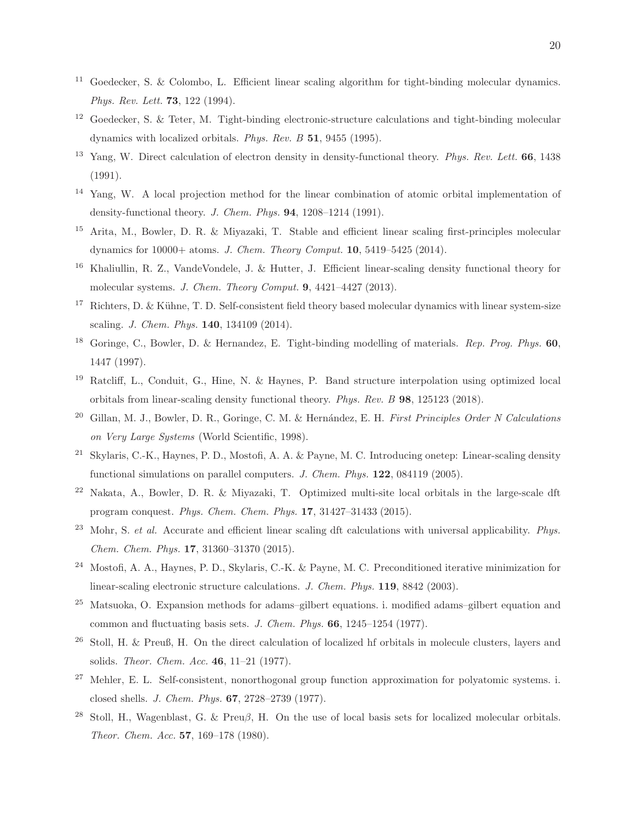- <span id="page-19-0"></span><sup>11</sup> Goedecker, S. & Colombo, L. Efficient linear scaling algorithm for tight-binding molecular dynamics. *Phys. Rev. Lett.* 73, 122 (1994).
- <span id="page-19-1"></span><sup>12</sup> Goedecker, S. & Teter, M. Tight-binding electronic-structure calculations and tight-binding molecular dynamics with localized orbitals. *Phys. Rev. B* 51, 9455 (1995).
- <span id="page-19-2"></span><sup>13</sup> Yang, W. Direct calculation of electron density in density-functional theory. *Phys. Rev. Lett.* 66, 1438 (1991).
- <span id="page-19-3"></span><sup>14</sup> Yang, W. A local projection method for the linear combination of atomic orbital implementation of density-functional theory. *J. Chem. Phys.* 94, 1208–1214 (1991).
- <span id="page-19-4"></span><sup>15</sup> Arita, M., Bowler, D. R. & Miyazaki, T. Stable and efficient linear scaling first-principles molecular dynamics for 10000+ atoms. *J. Chem. Theory Comput.* 10, 5419–5425 (2014).
- <span id="page-19-5"></span><sup>16</sup> Khaliullin, R. Z., VandeVondele, J. & Hutter, J. Efficient linear-scaling density functional theory for molecular systems. *J. Chem. Theory Comput.* 9, 4421–4427 (2013).
- <span id="page-19-6"></span> $17$  Richters, D. & Kühne, T. D. Self-consistent field theory based molecular dynamics with linear system-size scaling. *J. Chem. Phys.* 140, 134109 (2014).
- <sup>18</sup> Goringe, C., Bowler, D. & Hernandez, E. Tight-binding modelling of materials. *Rep. Prog. Phys.* 60, 1447 (1997).
- <span id="page-19-7"></span><sup>19</sup> Ratcliff, L., Conduit, G., Hine, N. & Haynes, P. Band structure interpolation using optimized local orbitals from linear-scaling density functional theory. *Phys. Rev. B* 98, 125123 (2018).
- <span id="page-19-8"></span><sup>20</sup> Gillan, M. J., Bowler, D. R., Goringe, C. M. & Hernández, E. H. *First Principles Order N Calculations on Very Large Systems* (World Scientific, 1998).
- <span id="page-19-14"></span><sup>21</sup> Skylaris, C.-K., Haynes, P. D., Mostofi, A. A. & Payne, M. C. Introducing onetep: Linear-scaling density functional simulations on parallel computers. *J. Chem. Phys.* 122, 084119 (2005).
- <span id="page-19-15"></span><sup>22</sup> Nakata, A., Bowler, D. R. & Miyazaki, T. Optimized multi-site local orbitals in the large-scale dft program conquest. *Phys. Chem. Chem. Phys.* 17, 31427–31433 (2015).
- <span id="page-19-9"></span><sup>23</sup> Mohr, S. *et al.* Accurate and efficient linear scaling dft calculations with universal applicability. *Phys. Chem. Chem. Phys.* 17, 31360–31370 (2015).
- <span id="page-19-10"></span><sup>24</sup> Mostofi, A. A., Haynes, P. D., Skylaris, C.-K. & Payne, M. C. Preconditioned iterative minimization for linear-scaling electronic structure calculations. *J. Chem. Phys.* 119, 8842 (2003).
- <span id="page-19-11"></span><sup>25</sup> Matsuoka, O. Expansion methods for adams–gilbert equations. i. modified adams–gilbert equation and common and fluctuating basis sets. *J. Chem. Phys.* 66, 1245–1254 (1977).
- <sup>26</sup> Stoll, H. & Preuß, H. On the direct calculation of localized hf orbitals in molecule clusters, layers and solids. *Theor. Chem. Acc.* 46, 11–21 (1977).
- <span id="page-19-12"></span><sup>27</sup> Mehler, E. L. Self-consistent, nonorthogonal group function approximation for polyatomic systems. i. closed shells. *J. Chem. Phys.* 67, 2728–2739 (1977).
- <span id="page-19-13"></span><sup>28</sup> Stoll, H., Wagenblast, G. & Preuβ, H. On the use of local basis sets for localized molecular orbitals. *Theor. Chem. Acc.* 57, 169–178 (1980).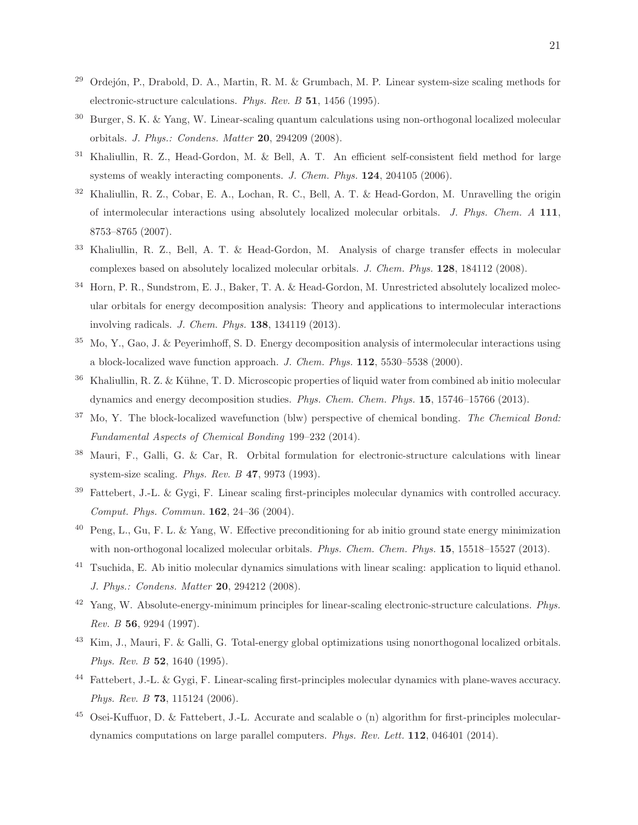- <span id="page-20-0"></span><sup>29</sup> Ordejón, P., Drabold, D. A., Martin, R. M. & Grumbach, M. P. Linear system-size scaling methods for electronic-structure calculations. *Phys. Rev. B* 51, 1456 (1995).
- <span id="page-20-1"></span><sup>30</sup> Burger, S. K. & Yang, W. Linear-scaling quantum calculations using non-orthogonal localized molecular orbitals. *J. Phys.: Condens. Matter* 20, 294209 (2008).
- <span id="page-20-2"></span><sup>31</sup> Khaliullin, R. Z., Head-Gordon, M. & Bell, A. T. An efficient self-consistent field method for large systems of weakly interacting components. *J. Chem. Phys.* 124, 204105 (2006).
- <span id="page-20-4"></span><sup>32</sup> Khaliullin, R. Z., Cobar, E. A., Lochan, R. C., Bell, A. T. & Head-Gordon, M. Unravelling the origin of intermolecular interactions using absolutely localized molecular orbitals. *J. Phys. Chem. A* 111, 8753–8765 (2007).
- <sup>33</sup> Khaliullin, R. Z., Bell, A. T. & Head-Gordon, M. Analysis of charge transfer effects in molecular complexes based on absolutely localized molecular orbitals. *J. Chem. Phys.* 128, 184112 (2008).
- <span id="page-20-3"></span><sup>34</sup> Horn, P. R., Sundstrom, E. J., Baker, T. A. & Head-Gordon, M. Unrestricted absolutely localized molecular orbitals for energy decomposition analysis: Theory and applications to intermolecular interactions involving radicals. *J. Chem. Phys.* 138, 134119 (2013).
- <span id="page-20-5"></span> $35$  Mo, Y., Gao, J. & Peyerimhoff, S. D. Energy decomposition analysis of intermolecular interactions using a block-localized wave function approach. *J. Chem. Phys.* 112, 5530–5538 (2000).
- <sup>36</sup> Khaliullin, R. Z. & Kühne, T. D. Microscopic properties of liquid water from combined ab initio molecular dynamics and energy decomposition studies. *Phys. Chem. Chem. Phys.* 15, 15746–15766 (2013).
- <span id="page-20-6"></span><sup>37</sup> Mo, Y. The block-localized wavefunction (blw) perspective of chemical bonding. *The Chemical Bond: Fundamental Aspects of Chemical Bonding* 199–232 (2014).
- <span id="page-20-7"></span><sup>38</sup> Mauri, F., Galli, G. & Car, R. Orbital formulation for electronic-structure calculations with linear system-size scaling. *Phys. Rev. B* 47, 9973 (1993).
- <span id="page-20-12"></span> $39$  Fattebert, J.-L. & Gygi, F. Linear scaling first-principles molecular dynamics with controlled accuracy. *Comput. Phys. Commun.* 162, 24–36 (2004).
- <span id="page-20-9"></span> $^{40}$  Peng, L., Gu, F. L. & Yang, W. Effective preconditioning for ab initio ground state energy minimization with non-orthogonal localized molecular orbitals. *Phys. Chem. Chem. Phys.* 15, 15518–15527 (2013).
- <span id="page-20-8"></span><sup>41</sup> Tsuchida, E. Ab initio molecular dynamics simulations with linear scaling: application to liquid ethanol. *J. Phys.: Condens. Matter* 20, 294212 (2008).
- <span id="page-20-10"></span><sup>42</sup> Yang, W. Absolute-energy-minimum principles for linear-scaling electronic-structure calculations. *Phys. Rev. B* 56, 9294 (1997).
- <span id="page-20-11"></span><sup>43</sup> Kim, J., Mauri, F. & Galli, G. Total-energy global optimizations using nonorthogonal localized orbitals. *Phys. Rev. B* 52, 1640 (1995).
- <span id="page-20-13"></span><sup>44</sup> Fattebert, J.-L. & Gygi, F. Linear-scaling first-principles molecular dynamics with plane-waves accuracy. *Phys. Rev. B* 73, 115124 (2006).
- <span id="page-20-14"></span><sup>45</sup> Osei-Kuffuor, D. & Fattebert, J.-L. Accurate and scalable o (n) algorithm for first-principles moleculardynamics computations on large parallel computers. *Phys. Rev. Lett.* 112, 046401 (2014).